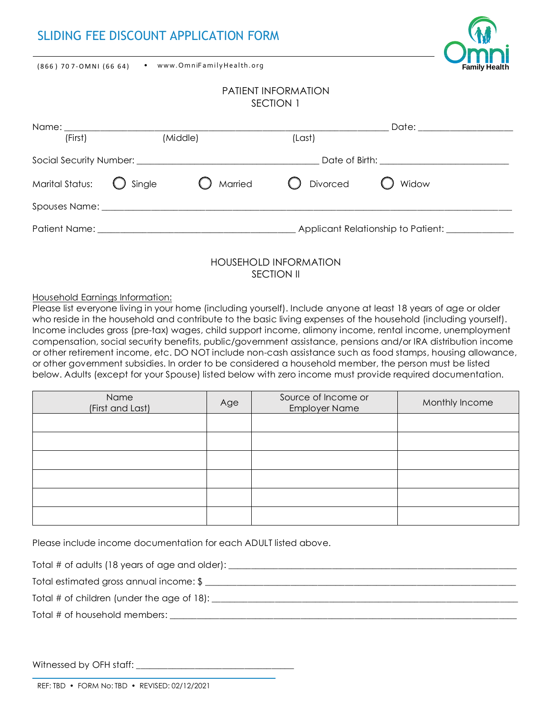# SLIDING FEE DISCOUNT APPLICATION FORM

• w ww.OmniF amilyHealth.org (866 ) 70 7-OMNI (66 64)



#### PATIENT INFORMATION SECTION 1

| Name: ___________      |                   |         |                                               | Date: ______________________ |  |
|------------------------|-------------------|---------|-----------------------------------------------|------------------------------|--|
| (First)                | (Middle)          |         | (Last)                                        |                              |  |
|                        |                   |         | Date of Birth: <u>______________________</u>  |                              |  |
| <b>Marital Status:</b> | $\bigcirc$ Single | Married | ◯ Divorced                                    | Widow                        |  |
|                        |                   |         |                                               |                              |  |
|                        |                   |         | Applicant Relationship to Patient: __________ |                              |  |
|                        |                   |         |                                               |                              |  |

## HOUSEHOLD INFORMATION SECTION II

### Household Earnings Information:

Please list everyone living in your home (including yourself). Include anyone at least 18 years of age or older who reside in the household and contribute to the basic living expenses of the household (including yourself). Income includes gross (pre-tax) wages, child support income, alimony income, rental income, unemployment compensation, social security benefits, public/government assistance, pensions and/or IRA distribution income or other retirement income, etc. DO NOT include non-cash assistance such as food stamps, housing allowance, or other government subsidies. In order to be considered a household member, the person must be listed below. Adults (except for your Spouse) listed below with zero income must provide required documentation.

| Name<br>(First and Last) | Age | Source of Income or<br><b>Employer Name</b> | Monthly Income |  |
|--------------------------|-----|---------------------------------------------|----------------|--|
|                          |     |                                             |                |  |
|                          |     |                                             |                |  |
|                          |     |                                             |                |  |
|                          |     |                                             |                |  |
|                          |     |                                             |                |  |
|                          |     |                                             |                |  |

Please include income documentation for each ADULT listed above.

Total # of adults (18 years of age and older): \_\_\_\_\_\_\_\_\_\_\_\_\_\_\_\_\_\_\_\_\_\_\_\_\_\_\_\_\_\_\_\_\_\_\_\_\_\_\_\_\_\_\_\_\_\_\_\_\_\_\_\_\_\_\_\_\_\_\_\_\_\_\_\_

Total estimated gross annual income: \$

Total # of children (under the age of 18): \_\_\_\_\_\_\_\_\_\_\_\_\_\_\_\_\_\_\_\_\_\_\_\_\_\_\_\_\_\_\_\_\_\_\_\_\_\_\_\_\_\_\_\_\_\_\_\_\_\_\_\_\_\_\_\_\_\_\_\_\_\_\_\_\_\_\_\_

Total # of household members: \_

Witnessed by OFH staff: \_\_\_\_\_\_\_\_\_\_\_\_\_\_\_\_\_\_\_\_\_\_\_\_\_\_\_\_\_\_\_\_\_\_\_